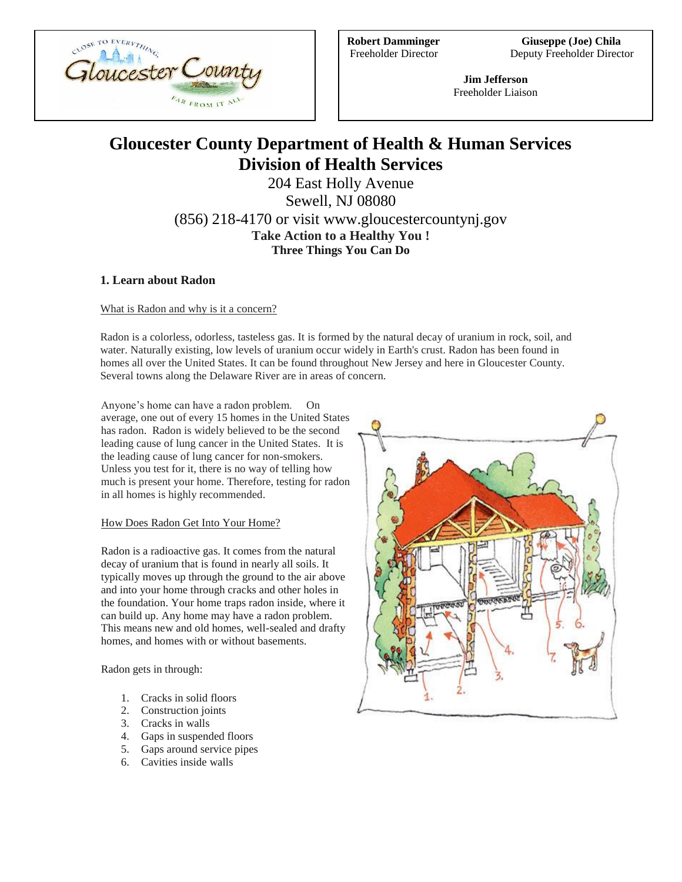

**Robert Damminger Giuseppe (Joe) Chila** Freeholder Director Deputy Freeholder Director

> **Jim Jefferson** Freeholder Liaison

# **Gloucester County Department of Health & Human Services Division of Health Services**

204 East Holly Avenue Sewell, NJ 08080 (856) 218-4170 or visit www.gloucestercountynj.gov **Take Action to a Healthy You ! Three Things You Can Do**

## **1. Learn about Radon**

What is Radon and why is it a concern?

Radon is a colorless, odorless, tasteless gas. It is formed by the natural decay of uranium in rock, soil, and water. Naturally existing, low levels of uranium occur widely in Earth's crust. Radon has been found in homes all over the United States. It can be found throughout New Jersey and here in Gloucester County. Several towns along the Delaware River are in areas of concern.

Anyone's home can have a radon problem. On average, one out of every 15 homes in the United States has radon. Radon is widely believed to be the second leading cause of lung cancer in the United States. It is the leading cause of lung cancer for non-smokers. Unless you test for it, there is no way of telling how much is present your home. Therefore, testing for radon in all homes is highly recommended.

## How Does Radon Get Into Your Home?

Radon is a radioactive gas. It comes from the natural decay of uranium that is found in nearly all soils. It typically moves up through the ground to the air above and into your home through cracks and other holes in the foundation. Your home traps radon inside, where it can build up. Any home may have a radon problem. This means new and old homes, well-sealed and drafty homes, and homes with or without basements.

Radon gets in through:

- 1. Cracks in solid floors
- 2. Construction joints
- 3. Cracks in walls
- 4. Gaps in suspended floors
- 5. Gaps around service pipes
- 6. Cavities inside walls